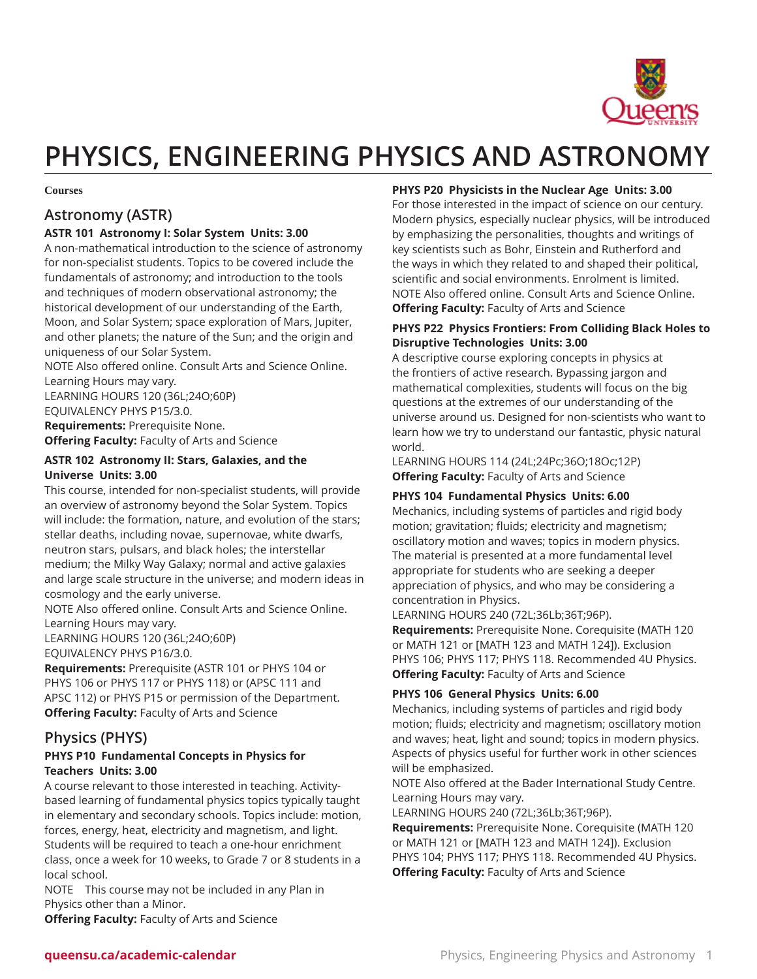

# **PHYSICS, ENGINEERING PHYSICS AND ASTRONOMY**

#### **Courses**

# **Astronomy (ASTR)**

# **ASTR 101 Astronomy I: Solar System Units: 3.00**

A non-mathematical introduction to the science of astronomy for non-specialist students. Topics to be covered include the fundamentals of astronomy; and introduction to the tools and techniques of modern observational astronomy; the historical development of our understanding of the Earth, Moon, and Solar System; space exploration of Mars, Jupiter, and other planets; the nature of the Sun; and the origin and uniqueness of our Solar System.

NOTE Also offered online. Consult Arts and Science Online. Learning Hours may vary.

LEARNING HOURS 120 (36L;24O;60P)

EQUIVALENCY PHYS P15/3.0. **Requirements:** Prerequisite None.

**Offering Faculty:** Faculty of Arts and Science

#### **ASTR 102 Astronomy II: Stars, Galaxies, and the Universe Units: 3.00**

This course, intended for non-specialist students, will provide an overview of astronomy beyond the Solar System. Topics will include: the formation, nature, and evolution of the stars; stellar deaths, including novae, supernovae, white dwarfs, neutron stars, pulsars, and black holes; the interstellar medium; the Milky Way Galaxy; normal and active galaxies and large scale structure in the universe; and modern ideas in cosmology and the early universe.

NOTE Also offered online. Consult Arts and Science Online. Learning Hours may vary.

LEARNING HOURS 120 (36L;24O;60P)

EQUIVALENCY PHYS P16/3.0.

**Requirements:** Prerequisite (ASTR 101 or PHYS 104 or PHYS 106 or PHYS 117 or PHYS 118) or (APSC 111 and APSC 112) or PHYS P15 or permission of the Department. **Offering Faculty:** Faculty of Arts and Science

# **Physics (PHYS)**

## **PHYS P10 Fundamental Concepts in Physics for Teachers Units: 3.00**

A course relevant to those interested in teaching. Activitybased learning of fundamental physics topics typically taught in elementary and secondary schools. Topics include: motion, forces, energy, heat, electricity and magnetism, and light. Students will be required to teach a one-hour enrichment class, once a week for 10 weeks, to Grade 7 or 8 students in a local school.

NOTE This course may not be included in any Plan in Physics other than a Minor.

**Offering Faculty:** Faculty of Arts and Science

# **PHYS P20 Physicists in the Nuclear Age Units: 3.00**

For those interested in the impact of science on our century. Modern physics, especially nuclear physics, will be introduced by emphasizing the personalities, thoughts and writings of key scientists such as Bohr, Einstein and Rutherford and the ways in which they related to and shaped their political, scientific and social environments. Enrolment is limited. NOTE Also offered online. Consult Arts and Science Online. **Offering Faculty:** Faculty of Arts and Science

## **PHYS P22 Physics Frontiers: From Colliding Black Holes to Disruptive Technologies Units: 3.00**

A descriptive course exploring concepts in physics at the frontiers of active research. Bypassing jargon and mathematical complexities, students will focus on the big questions at the extremes of our understanding of the universe around us. Designed for non-scientists who want to learn how we try to understand our fantastic, physic natural world.

LEARNING HOURS 114 (24L;24Pc;36O;18Oc;12P) **Offering Faculty:** Faculty of Arts and Science

# **PHYS 104 Fundamental Physics Units: 6.00**

Mechanics, including systems of particles and rigid body motion; gravitation; fluids; electricity and magnetism; oscillatory motion and waves; topics in modern physics. The material is presented at a more fundamental level appropriate for students who are seeking a deeper appreciation of physics, and who may be considering a concentration in Physics.

LEARNING HOURS 240 (72L;36Lb;36T;96P).

**Requirements:** Prerequisite None. Corequisite (MATH 120 or MATH 121 or [MATH 123 and MATH 124]). Exclusion PHYS 106; PHYS 117; PHYS 118. Recommended 4U Physics. **Offering Faculty:** Faculty of Arts and Science

# **PHYS 106 General Physics Units: 6.00**

Mechanics, including systems of particles and rigid body motion; fluids; electricity and magnetism; oscillatory motion and waves; heat, light and sound; topics in modern physics. Aspects of physics useful for further work in other sciences will be emphasized.

NOTE Also offered at the Bader International Study Centre. Learning Hours may vary.

LEARNING HOURS 240 (72L;36Lb;36T;96P).

**Requirements:** Prerequisite None. Corequisite (MATH 120 or MATH 121 or [MATH 123 and MATH 124]). Exclusion PHYS 104; PHYS 117; PHYS 118. Recommended 4U Physics. **Offering Faculty:** Faculty of Arts and Science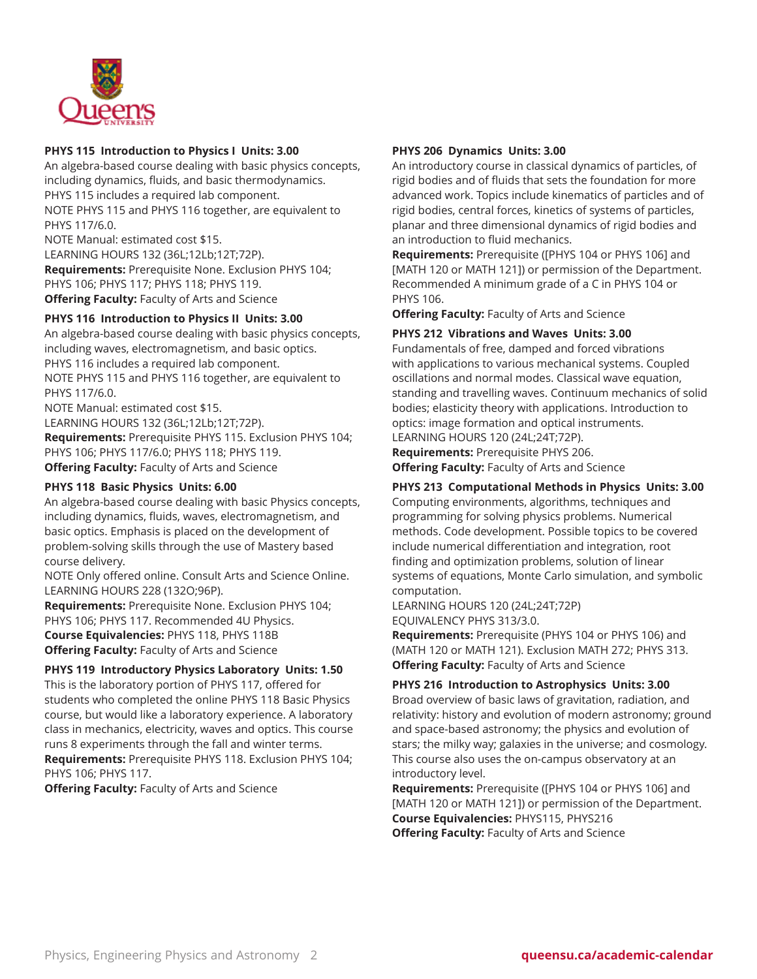

# **PHYS 115 Introduction to Physics I Units: 3.00**

An algebra-based course dealing with basic physics concepts, including dynamics, fluids, and basic thermodynamics. PHYS 115 includes a required lab component. NOTE PHYS 115 and PHYS 116 together, are equivalent to PHYS 117/6.0. NOTE Manual: estimated cost \$15.

LEARNING HOURS 132 (36L;12Lb;12T;72P). **Requirements:** Prerequisite None. Exclusion PHYS 104; PHYS 106; PHYS 117; PHYS 118; PHYS 119. **Offering Faculty:** Faculty of Arts and Science

# **PHYS 116 Introduction to Physics II Units: 3.00**

An algebra-based course dealing with basic physics concepts, including waves, electromagnetism, and basic optics. PHYS 116 includes a required lab component. NOTE PHYS 115 and PHYS 116 together, are equivalent to PHYS 117/6.0.

NOTE Manual: estimated cost \$15. LEARNING HOURS 132 (36L;12Lb;12T;72P). **Requirements:** Prerequisite PHYS 115. Exclusion PHYS 104; PHYS 106; PHYS 117/6.0; PHYS 118; PHYS 119. **Offering Faculty:** Faculty of Arts and Science

#### **PHYS 118 Basic Physics Units: 6.00**

An algebra-based course dealing with basic Physics concepts, including dynamics, fluids, waves, electromagnetism, and basic optics. Emphasis is placed on the development of problem-solving skills through the use of Mastery based course delivery.

NOTE Only offered online. Consult Arts and Science Online. LEARNING HOURS 228 (132O;96P).

**Requirements:** Prerequisite None. Exclusion PHYS 104; PHYS 106; PHYS 117. Recommended 4U Physics. **Course Equivalencies:** PHYS 118, PHYS 118B

**Offering Faculty:** Faculty of Arts and Science

# **PHYS 119 Introductory Physics Laboratory Units: 1.50**

This is the laboratory portion of PHYS 117, offered for students who completed the online PHYS 118 Basic Physics course, but would like a laboratory experience. A laboratory class in mechanics, electricity, waves and optics. This course runs 8 experiments through the fall and winter terms. **Requirements:** Prerequisite PHYS 118. Exclusion PHYS 104; PHYS 106; PHYS 117.

**Offering Faculty:** Faculty of Arts and Science

#### **PHYS 206 Dynamics Units: 3.00**

An introductory course in classical dynamics of particles, of rigid bodies and of fluids that sets the foundation for more advanced work. Topics include kinematics of particles and of rigid bodies, central forces, kinetics of systems of particles, planar and three dimensional dynamics of rigid bodies and an introduction to fluid mechanics.

**Requirements:** Prerequisite ([PHYS 104 or PHYS 106] and [MATH 120 or MATH 121]) or permission of the Department. Recommended A minimum grade of a C in PHYS 104 or PHYS 106.

**Offering Faculty:** Faculty of Arts and Science

#### **PHYS 212 Vibrations and Waves Units: 3.00**

Fundamentals of free, damped and forced vibrations with applications to various mechanical systems. Coupled oscillations and normal modes. Classical wave equation, standing and travelling waves. Continuum mechanics of solid bodies; elasticity theory with applications. Introduction to optics: image formation and optical instruments. LEARNING HOURS 120 (24L;24T;72P).

**Requirements:** Prerequisite PHYS 206. **Offering Faculty:** Faculty of Arts and Science

# **PHYS 213 Computational Methods in Physics Units: 3.00**

Computing environments, algorithms, techniques and programming for solving physics problems. Numerical methods. Code development. Possible topics to be covered include numerical differentiation and integration, root finding and optimization problems, solution of linear systems of equations, Monte Carlo simulation, and symbolic computation.

LEARNING HOURS 120 (24L;24T;72P) EQUIVALENCY PHYS 313/3.0.

**Requirements:** Prerequisite (PHYS 104 or PHYS 106) and (MATH 120 or MATH 121). Exclusion MATH 272; PHYS 313. **Offering Faculty:** Faculty of Arts and Science

#### **PHYS 216 Introduction to Astrophysics Units: 3.00**

Broad overview of basic laws of gravitation, radiation, and relativity: history and evolution of modern astronomy; ground and space-based astronomy; the physics and evolution of stars; the milky way; galaxies in the universe; and cosmology. This course also uses the on-campus observatory at an introductory level.

**Requirements:** Prerequisite ([PHYS 104 or PHYS 106] and [MATH 120 or MATH 121]) or permission of the Department. **Course Equivalencies:** PHYS115, PHYS216 **Offering Faculty:** Faculty of Arts and Science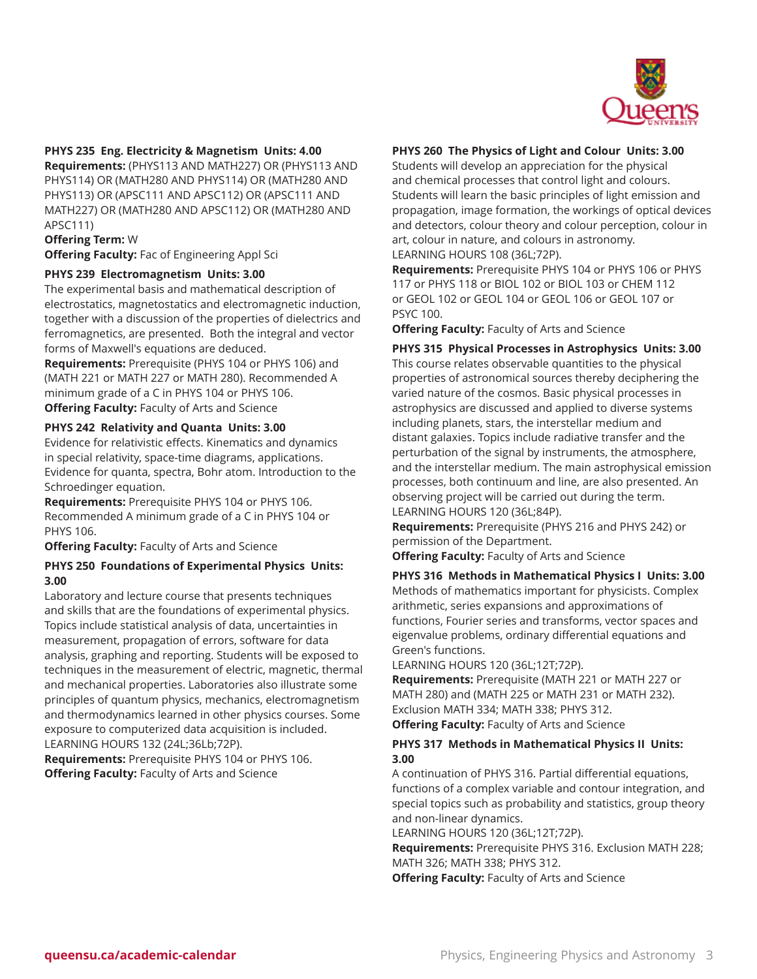

## **PHYS 235 Eng. Electricity & Magnetism Units: 4.00**

**Requirements:** (PHYS113 AND MATH227) OR (PHYS113 AND PHYS114) OR (MATH280 AND PHYS114) OR (MATH280 AND PHYS113) OR (APSC111 AND APSC112) OR (APSC111 AND MATH227) OR (MATH280 AND APSC112) OR (MATH280 AND APSC111)

#### **Offering Term:** W

**Offering Faculty:** Fac of Engineering Appl Sci

#### **PHYS 239 Electromagnetism Units: 3.00**

The experimental basis and mathematical description of electrostatics, magnetostatics and electromagnetic induction, together with a discussion of the properties of dielectrics and ferromagnetics, are presented. Both the integral and vector forms of Maxwell's equations are deduced.

**Requirements:** Prerequisite (PHYS 104 or PHYS 106) and (MATH 221 or MATH 227 or MATH 280). Recommended A minimum grade of a C in PHYS 104 or PHYS 106. **Offering Faculty:** Faculty of Arts and Science

#### **PHYS 242 Relativity and Quanta Units: 3.00**

Evidence for relativistic effects. Kinematics and dynamics in special relativity, space-time diagrams, applications. Evidence for quanta, spectra, Bohr atom. Introduction to the Schroedinger equation.

**Requirements:** Prerequisite PHYS 104 or PHYS 106. Recommended A minimum grade of a C in PHYS 104 or PHYS 106.

**Offering Faculty:** Faculty of Arts and Science

#### **PHYS 250 Foundations of Experimental Physics Units: 3.00**

Laboratory and lecture course that presents techniques and skills that are the foundations of experimental physics. Topics include statistical analysis of data, uncertainties in measurement, propagation of errors, software for data analysis, graphing and reporting. Students will be exposed to techniques in the measurement of electric, magnetic, thermal and mechanical properties. Laboratories also illustrate some principles of quantum physics, mechanics, electromagnetism and thermodynamics learned in other physics courses. Some exposure to computerized data acquisition is included. LEARNING HOURS 132 (24L;36Lb;72P).

**Requirements:** Prerequisite PHYS 104 or PHYS 106. **Offering Faculty:** Faculty of Arts and Science

# **PHYS 260 The Physics of Light and Colour Units: 3.00**

Students will develop an appreciation for the physical and chemical processes that control light and colours. Students will learn the basic principles of light emission and propagation, image formation, the workings of optical devices and detectors, colour theory and colour perception, colour in art, colour in nature, and colours in astronomy. LEARNING HOURS 108 (36L;72P).

**Requirements:** Prerequisite PHYS 104 or PHYS 106 or PHYS 117 or PHYS 118 or BIOL 102 or BIOL 103 or CHEM 112 or GEOL 102 or GEOL 104 or GEOL 106 or GEOL 107 or PSYC 100.

**Offering Faculty:** Faculty of Arts and Science

**PHYS 315 Physical Processes in Astrophysics Units: 3.00** This course relates observable quantities to the physical properties of astronomical sources thereby deciphering the varied nature of the cosmos. Basic physical processes in astrophysics are discussed and applied to diverse systems including planets, stars, the interstellar medium and distant galaxies. Topics include radiative transfer and the perturbation of the signal by instruments, the atmosphere, and the interstellar medium. The main astrophysical emission processes, both continuum and line, are also presented. An observing project will be carried out during the term. LEARNING HOURS 120 (36L;84P).

**Requirements:** Prerequisite (PHYS 216 and PHYS 242) or permission of the Department.

**Offering Faculty:** Faculty of Arts and Science

# **PHYS 316 Methods in Mathematical Physics I Units: 3.00** Methods of mathematics important for physicists. Complex arithmetic, series expansions and approximations of functions, Fourier series and transforms, vector spaces and eigenvalue problems, ordinary differential equations and Green's functions.

LEARNING HOURS 120 (36L;12T;72P).

**Requirements:** Prerequisite (MATH 221 or MATH 227 or MATH 280) and (MATH 225 or MATH 231 or MATH 232). Exclusion MATH 334; MATH 338; PHYS 312. **Offering Faculty:** Faculty of Arts and Science

## **PHYS 317 Methods in Mathematical Physics II Units: 3.00**

A continuation of PHYS 316. Partial differential equations, functions of a complex variable and contour integration, and special topics such as probability and statistics, group theory and non-linear dynamics.

LEARNING HOURS 120 (36L;12T;72P).

**Requirements:** Prerequisite PHYS 316. Exclusion MATH 228; MATH 326; MATH 338; PHYS 312.

**Offering Faculty:** Faculty of Arts and Science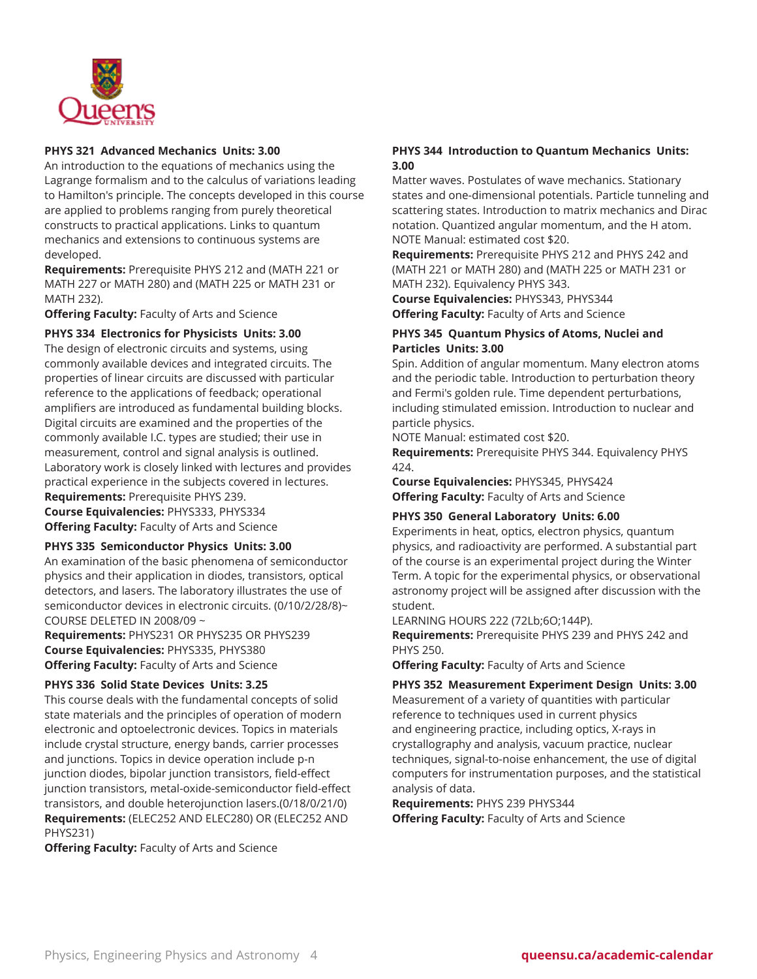

# **PHYS 321 Advanced Mechanics Units: 3.00**

An introduction to the equations of mechanics using the Lagrange formalism and to the calculus of variations leading to Hamilton's principle. The concepts developed in this course are applied to problems ranging from purely theoretical constructs to practical applications. Links to quantum mechanics and extensions to continuous systems are developed.

**Requirements:** Prerequisite PHYS 212 and (MATH 221 or MATH 227 or MATH 280) and (MATH 225 or MATH 231 or MATH 232).

**Offering Faculty:** Faculty of Arts and Science

# **PHYS 334 Electronics for Physicists Units: 3.00**

The design of electronic circuits and systems, using commonly available devices and integrated circuits. The properties of linear circuits are discussed with particular reference to the applications of feedback; operational amplifiers are introduced as fundamental building blocks. Digital circuits are examined and the properties of the commonly available I.C. types are studied; their use in measurement, control and signal analysis is outlined. Laboratory work is closely linked with lectures and provides practical experience in the subjects covered in lectures. **Requirements:** Prerequisite PHYS 239. **Course Equivalencies:** PHYS333, PHYS334

**Offering Faculty:** Faculty of Arts and Science

## **PHYS 335 Semiconductor Physics Units: 3.00**

An examination of the basic phenomena of semiconductor physics and their application in diodes, transistors, optical detectors, and lasers. The laboratory illustrates the use of semiconductor devices in electronic circuits. (0/10/2/28/8)~ COURSE DELETED IN 2008/09 ~

**Requirements:** PHYS231 OR PHYS235 OR PHYS239 **Course Equivalencies:** PHYS335, PHYS380 **Offering Faculty:** Faculty of Arts and Science

## **PHYS 336 Solid State Devices Units: 3.25**

This course deals with the fundamental concepts of solid state materials and the principles of operation of modern electronic and optoelectronic devices. Topics in materials include crystal structure, energy bands, carrier processes and junctions. Topics in device operation include p-n junction diodes, bipolar junction transistors, field-effect junction transistors, metal-oxide-semiconductor field-effect transistors, and double heterojunction lasers.(0/18/0/21/0) **Requirements:** (ELEC252 AND ELEC280) OR (ELEC252 AND PHYS231)

**Offering Faculty:** Faculty of Arts and Science

# **PHYS 344 Introduction to Quantum Mechanics Units: 3.00**

Matter waves. Postulates of wave mechanics. Stationary states and one-dimensional potentials. Particle tunneling and scattering states. Introduction to matrix mechanics and Dirac notation. Quantized angular momentum, and the H atom. NOTE Manual: estimated cost \$20.

**Requirements:** Prerequisite PHYS 212 and PHYS 242 and (MATH 221 or MATH 280) and (MATH 225 or MATH 231 or MATH 232). Equivalency PHYS 343.

**Course Equivalencies:** PHYS343, PHYS344 **Offering Faculty:** Faculty of Arts and Science

# **PHYS 345 Quantum Physics of Atoms, Nuclei and Particles Units: 3.00**

Spin. Addition of angular momentum. Many electron atoms and the periodic table. Introduction to perturbation theory and Fermi's golden rule. Time dependent perturbations, including stimulated emission. Introduction to nuclear and particle physics.

NOTE Manual: estimated cost \$20.

**Requirements:** Prerequisite PHYS 344. Equivalency PHYS 424.

**Course Equivalencies:** PHYS345, PHYS424 **Offering Faculty:** Faculty of Arts and Science

## **PHYS 350 General Laboratory Units: 6.00**

Experiments in heat, optics, electron physics, quantum physics, and radioactivity are performed. A substantial part of the course is an experimental project during the Winter Term. A topic for the experimental physics, or observational astronomy project will be assigned after discussion with the student.

LEARNING HOURS 222 (72Lb;6O;144P).

**Requirements:** Prerequisite PHYS 239 and PHYS 242 and PHYS 250.

**Offering Faculty:** Faculty of Arts and Science

**PHYS 352 Measurement Experiment Design Units: 3.00** Measurement of a variety of quantities with particular

reference to techniques used in current physics and engineering practice, including optics, X-rays in crystallography and analysis, vacuum practice, nuclear techniques, signal-to-noise enhancement, the use of digital computers for instrumentation purposes, and the statistical analysis of data.

**Requirements:** PHYS 239 PHYS344 **Offering Faculty:** Faculty of Arts and Science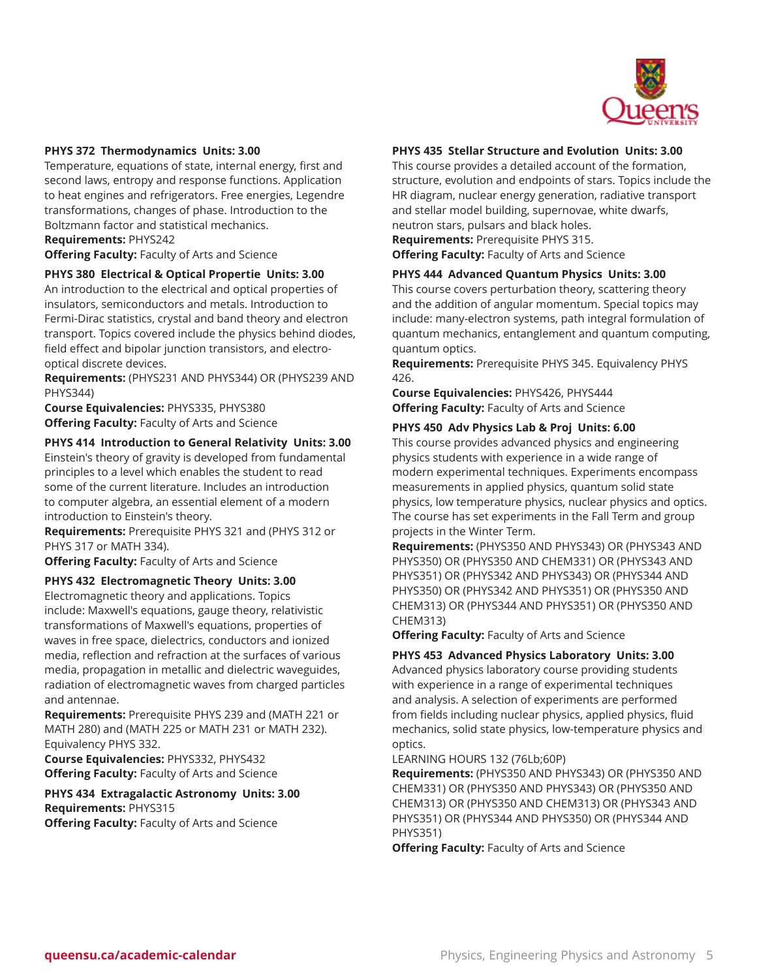

#### **PHYS 372 Thermodynamics Units: 3.00**

Temperature, equations of state, internal energy, first and second laws, entropy and response functions. Application to heat engines and refrigerators. Free energies, Legendre transformations, changes of phase. Introduction to the Boltzmann factor and statistical mechanics. **Requirements:** PHYS242

**Offering Faculty:** Faculty of Arts and Science

#### **PHYS 380 Electrical & Optical Propertie Units: 3.00**

An introduction to the electrical and optical properties of insulators, semiconductors and metals. Introduction to Fermi-Dirac statistics, crystal and band theory and electron transport. Topics covered include the physics behind diodes, field effect and bipolar junction transistors, and electrooptical discrete devices.

**Requirements:** (PHYS231 AND PHYS344) OR (PHYS239 AND PHYS344)

**Course Equivalencies:** PHYS335, PHYS380 **Offering Faculty:** Faculty of Arts and Science

#### **PHYS 414 Introduction to General Relativity Units: 3.00**

Einstein's theory of gravity is developed from fundamental principles to a level which enables the student to read some of the current literature. Includes an introduction to computer algebra, an essential element of a modern introduction to Einstein's theory.

**Requirements:** Prerequisite PHYS 321 and (PHYS 312 or PHYS 317 or MATH 334).

**Offering Faculty:** Faculty of Arts and Science

#### **PHYS 432 Electromagnetic Theory Units: 3.00**

Electromagnetic theory and applications. Topics include: Maxwell's equations, gauge theory, relativistic transformations of Maxwell's equations, properties of waves in free space, dielectrics, conductors and ionized media, reflection and refraction at the surfaces of various media, propagation in metallic and dielectric waveguides, radiation of electromagnetic waves from charged particles and antennae.

**Requirements:** Prerequisite PHYS 239 and (MATH 221 or MATH 280) and (MATH 225 or MATH 231 or MATH 232). Equivalency PHYS 332.

**Course Equivalencies:** PHYS332, PHYS432 **Offering Faculty:** Faculty of Arts and Science

**PHYS 434 Extragalactic Astronomy Units: 3.00 Requirements:** PHYS315 **Offering Faculty:** Faculty of Arts and Science

#### **PHYS 435 Stellar Structure and Evolution Units: 3.00**

This course provides a detailed account of the formation, structure, evolution and endpoints of stars. Topics include the HR diagram, nuclear energy generation, radiative transport and stellar model building, supernovae, white dwarfs, neutron stars, pulsars and black holes.

**Requirements:** Prerequisite PHYS 315.

**Offering Faculty:** Faculty of Arts and Science

#### **PHYS 444 Advanced Quantum Physics Units: 3.00**

This course covers perturbation theory, scattering theory and the addition of angular momentum. Special topics may include: many-electron systems, path integral formulation of quantum mechanics, entanglement and quantum computing, quantum optics.

**Requirements:** Prerequisite PHYS 345. Equivalency PHYS 426.

**Course Equivalencies:** PHYS426, PHYS444 **Offering Faculty:** Faculty of Arts and Science

#### **PHYS 450 Adv Physics Lab & Proj Units: 6.00**

This course provides advanced physics and engineering physics students with experience in a wide range of modern experimental techniques. Experiments encompass measurements in applied physics, quantum solid state physics, low temperature physics, nuclear physics and optics. The course has set experiments in the Fall Term and group projects in the Winter Term.

**Requirements:** (PHYS350 AND PHYS343) OR (PHYS343 AND PHYS350) OR (PHYS350 AND CHEM331) OR (PHYS343 AND PHYS351) OR (PHYS342 AND PHYS343) OR (PHYS344 AND PHYS350) OR (PHYS342 AND PHYS351) OR (PHYS350 AND CHEM313) OR (PHYS344 AND PHYS351) OR (PHYS350 AND CHEM313)

**Offering Faculty:** Faculty of Arts and Science

#### **PHYS 453 Advanced Physics Laboratory Units: 3.00**

Advanced physics laboratory course providing students with experience in a range of experimental techniques and analysis. A selection of experiments are performed from fields including nuclear physics, applied physics, fluid mechanics, solid state physics, low-temperature physics and optics.

#### LEARNING HOURS 132 (76Lb;60P)

**Requirements:** (PHYS350 AND PHYS343) OR (PHYS350 AND CHEM331) OR (PHYS350 AND PHYS343) OR (PHYS350 AND CHEM313) OR (PHYS350 AND CHEM313) OR (PHYS343 AND PHYS351) OR (PHYS344 AND PHYS350) OR (PHYS344 AND PHYS351)

**Offering Faculty:** Faculty of Arts and Science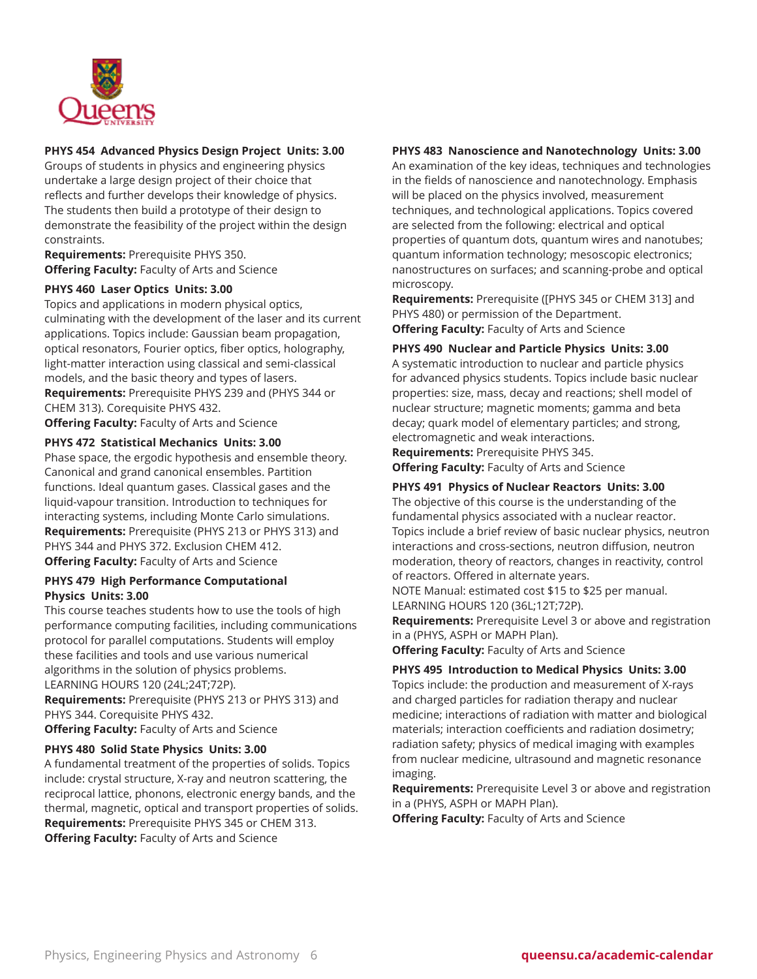

# **PHYS 454 Advanced Physics Design Project Units: 3.00**

Groups of students in physics and engineering physics undertake a large design project of their choice that reflects and further develops their knowledge of physics. The students then build a prototype of their design to demonstrate the feasibility of the project within the design constraints.

**Requirements:** Prerequisite PHYS 350. **Offering Faculty:** Faculty of Arts and Science

#### **PHYS 460 Laser Optics Units: 3.00**

Topics and applications in modern physical optics, culminating with the development of the laser and its current applications. Topics include: Gaussian beam propagation, optical resonators, Fourier optics, fiber optics, holography, light-matter interaction using classical and semi-classical models, and the basic theory and types of lasers. **Requirements:** Prerequisite PHYS 239 and (PHYS 344 or CHEM 313). Corequisite PHYS 432.

**Offering Faculty:** Faculty of Arts and Science

## **PHYS 472 Statistical Mechanics Units: 3.00**

Phase space, the ergodic hypothesis and ensemble theory. Canonical and grand canonical ensembles. Partition functions. Ideal quantum gases. Classical gases and the liquid-vapour transition. Introduction to techniques for interacting systems, including Monte Carlo simulations. **Requirements:** Prerequisite (PHYS 213 or PHYS 313) and PHYS 344 and PHYS 372. Exclusion CHEM 412. **Offering Faculty:** Faculty of Arts and Science

#### **PHYS 479 High Performance Computational Physics Units: 3.00**

This course teaches students how to use the tools of high performance computing facilities, including communications protocol for parallel computations. Students will employ these facilities and tools and use various numerical algorithms in the solution of physics problems. LEARNING HOURS 120 (24L;24T;72P).

**Requirements:** Prerequisite (PHYS 213 or PHYS 313) and PHYS 344. Corequisite PHYS 432.

**Offering Faculty:** Faculty of Arts and Science

# **PHYS 480 Solid State Physics Units: 3.00**

A fundamental treatment of the properties of solids. Topics include: crystal structure, X-ray and neutron scattering, the reciprocal lattice, phonons, electronic energy bands, and the thermal, magnetic, optical and transport properties of solids. **Requirements:** Prerequisite PHYS 345 or CHEM 313. **Offering Faculty:** Faculty of Arts and Science

# **PHYS 483 Nanoscience and Nanotechnology Units: 3.00**

An examination of the key ideas, techniques and technologies in the fields of nanoscience and nanotechnology. Emphasis will be placed on the physics involved, measurement techniques, and technological applications. Topics covered are selected from the following: electrical and optical properties of quantum dots, quantum wires and nanotubes; quantum information technology; mesoscopic electronics; nanostructures on surfaces; and scanning-probe and optical microscopy.

**Requirements:** Prerequisite ([PHYS 345 or CHEM 313] and PHYS 480) or permission of the Department. **Offering Faculty:** Faculty of Arts and Science

#### **PHYS 490 Nuclear and Particle Physics Units: 3.00**

A systematic introduction to nuclear and particle physics for advanced physics students. Topics include basic nuclear properties: size, mass, decay and reactions; shell model of nuclear structure; magnetic moments; gamma and beta decay; quark model of elementary particles; and strong, electromagnetic and weak interactions.

**Requirements:** Prerequisite PHYS 345. **Offering Faculty:** Faculty of Arts and Science

#### **PHYS 491 Physics of Nuclear Reactors Units: 3.00**

The objective of this course is the understanding of the fundamental physics associated with a nuclear reactor. Topics include a brief review of basic nuclear physics, neutron interactions and cross-sections, neutron diffusion, neutron moderation, theory of reactors, changes in reactivity, control of reactors. Offered in alternate years.

NOTE Manual: estimated cost \$15 to \$25 per manual. LEARNING HOURS 120 (36L;12T;72P).

**Requirements:** Prerequisite Level 3 or above and registration in a (PHYS, ASPH or MAPH Plan).

**Offering Faculty:** Faculty of Arts and Science

#### **PHYS 495 Introduction to Medical Physics Units: 3.00**

Topics include: the production and measurement of X-rays and charged particles for radiation therapy and nuclear medicine; interactions of radiation with matter and biological materials; interaction coefficients and radiation dosimetry; radiation safety; physics of medical imaging with examples from nuclear medicine, ultrasound and magnetic resonance imaging.

**Requirements:** Prerequisite Level 3 or above and registration in a (PHYS, ASPH or MAPH Plan).

**Offering Faculty:** Faculty of Arts and Science